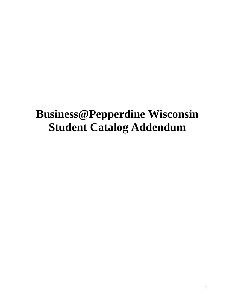# **Business@Pepperdine Wisconsin Student Catalog Addendum**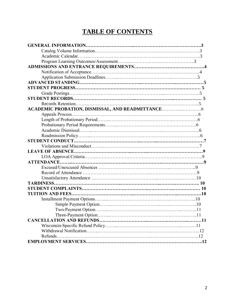# **TABLE OF CONTENTS**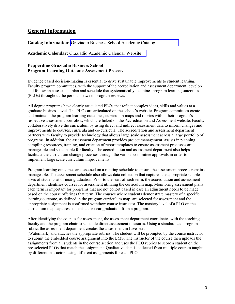# **General Information**

#### **Catalog Information:** [Graziadio Business School Academic Catalog](https://catalog.bschool.pepperdine.edu/misc/catalog_list.php?catoid=13)

#### **Academic Calendar:** [Graziadio Academic Calendar Website](https://bschool.pepperdine.edu/programs/academic-calendar/)

#### **Pepperdine Graziadio Business School Program Learning Outcome Assessment Process**

Evidence based decision-making is essential to drive sustainable improvements to student learning. Faculty program committees, with the support of the accreditation and assessment department, develop and follow an assessment plan and schedule that systematically examines program learning outcomes (PLOs) throughout the periods between program reviews.

All degree programs have clearly articulated PLOs that reflect complex ideas, skills and values at a graduate business level. The PLOs are articulated on the school's website. Program committees create and maintain the program learning outcomes, curriculum maps and rubrics within their program's respective assessment portfolios, which are linked on the Accreditation and Assessment website. Faculty collaboratively drive the curriculum by using direct and indirect assessment data to inform changes and improvements to courses, curricula and co-curricula. The accreditation and assessment department partners with faculty to provide technology that allows large scale assessment across a large portfolio of programs. In addition, the assessment department provides project management, assists in planning, compiling resources, training, and creation of report templates to ensure assessment processes are manageable and sustainable for faculty. The accreditation and assessment department also helps facilitate the curriculum change processes through the various committee approvals in order to implement large scale curriculum improvements.

Program learning outcomes are assessed on a rotating schedule to ensure the assessment process remains manageable. The assessment schedule also allows data collection that captures the appropriate sample sizes of students at or near graduation. Prior to the start of each term, the accreditation and assessment department identifies courses for assessment utilizing the curriculum map. Monitoring assessment plans each term is important for programs that are not cohort based in case an adjustment needs to be made based on the course offerings that term. The courses where students demonstrate mastery of a specific learning outcome, as defined in the program curriculum map, are selected for assessment and the appropriate assignment is confirmed withthew course instructor. The mastery level of a PLO on the curriculum map captures students at or near graduation from a program.

After identifying the courses for assessment, the assessment department coordinates with the teaching faculty and the program chair to schedule direct assessment measures. Using a standardized program rubric, the assessment department creates the assessment in LiveText (Watermark) and attaches the appropriate rubrics. The student will be prompted by the course instructor to submit the embedded course assignment into the LMS. The instructor of the course then uploads the assignments from all students in the course section and uses the PLO rubrics to score a student on the pre-selected PLOs that match the assignment. Qualitative data is collected from multiple courses taught by different instructors using different assignments for each PLO.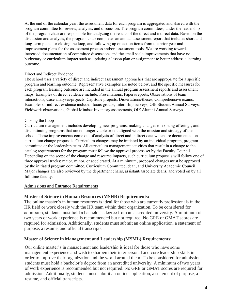At the end of the calendar year, the assessment data for each program is aggregated and shared with the program committee for review, analysis, and discussion. The program committees, under the leadership of the program chair are responsible for analyzing the results of the direct and indirect data. Based on the discussion and analysis, the program chair completes an annual assessment report that includes short and long-term plans for closing the loop, and following up on action items from the prior year and improvement plans for the assessment process and/or assessment tools. We are working towards increased documentation of committee discussions and the small scale improvements that have no budgetary or curriculum impact such as updating a lesson plan or assignment to better address a learning outcome.

#### Direct and Indirect Evidence

The school uses a variety of direct and indirect assessment approaches that are appropriate for a specific program and learning outcome. Representative examples are noted below, and the specific measures for each program learning outcome are included in the annual program assessment reports and assessment maps. Examples of direct evidence include: Presentations, Papers/reports, Observations of team interactions, Case analyses/projects, Capstone projects, Dissertations/theses, Comprehensive exams. Examples of indirect evidence include: focus groups, Internship surveys, OIE Student Annual Surveys, Fieldwork observations, Global Mindset Inventory assessments, OIE Alumni Annual Surveys.

#### Closing the Loop

Curriculum management includes developing new programs, making changes to existing offerings, and discontinuing programs that are no longer viable or not aligned with the mission and strategy of the school. These improvements come out of analysis of direct and indirect data which are documented on curriculum change proposals. Curriculum changes may be initiated by an individual program, program committee or the leadership team. All curriculum management activities that result in a change to the catalog requirements for the program must follow the approval process set by the Faculty Council. Depending on the scope of the change and resource impacts, such curriculum proposals will follow one of three approval tracks: major, minor, or accelerated. At a minimum, proposed changes must be approved by the initiated program committee, Curriculum Committee, dean, and University Academic Council. Major changes are also reviewed by the department chairs, assistant/associate deans, and voted on by all full time faculty.

#### Admissions and Entrance Requirements

#### **Master of Science in Human Resources (MSHR) Requirements:**

The online master's in human resources is ideal for those who are currently professionals in the HR field or work closely with the HR team within their organization. To be considered for admission, students must hold a bachelor's degree from an accredited university. A minimum of two years of work experience is recommended but not required. No GRE or GMAT scores are required for admission. Additionally, students must submit an online application, a statement of purpose, a resume, and official transcripts.

#### **Master of Science in Management and Leadership (MSML) Requirements:**

Our online master's in management and leadership is ideal for those who have some management experience and wish to sharpen their interpersonal and core leadership skills in order to improve their organization and the world around them. To be considered for admission, students must hold a bachelor's degree from an accredited university. A minimum of two years of work experience is recommended but not required. No GRE or GMAT scores are required for admission. Additionally, students must submit an online application, a statement of purpose, a resume, and official transcripts.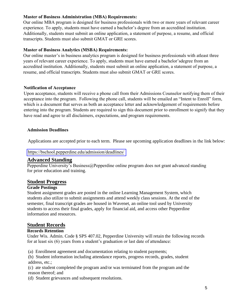#### **Master of Business Administration (MBA) Requirements:**

Our online MBA program is designed for business professionals with two or more years of relevant career experience. To apply, students must have earned a bachelor's degree from an accredited institution. Additionally, students must submit an online application, a statement of purpose, a resume, and official transcripts. Students must also submit GMAT or GRE scores.

#### **Master of Business Analytics (MSBA) Requirements:**

Our online master's in business analytics program is designed for business professionals with atleast three years of relevant career experience. To apply, students must have earned a bachelor'sdegree from an accredited institution. Additionally, students must submit an online application, a statement of purpose, a resume, and official transcripts. Students must also submit GMAT or GRE scores.

#### **Notification of Acceptance**

Upon acceptance, students will receive a phone call from their Admissions Counselor notifying them of their acceptance into the program. Following the phone call, students will be emailed an "Intent to Enroll" form, which is a document that serves as both an acceptance letter and acknowledgement of requirements before entering into the program. Students are required to sign this document prior to enrollment to signify that they have read and agree to all disclaimers, expectations, and program requirements.

#### **Admission Deadlines**

Applications are accepted prior to each term. Please see upcoming application deadlines in the link below:

#### <https://bschool.pepperdine.edu/admission/deadlines/>

# **Advanced Standing**

Pepperdine University's Business@Pepperdine online program does not grant advanced standing for prior education and training.

# **Student Progress**

#### **Grade Postings**

Student assignment grades are posted in the online Learning Management System, which students also utilize to submit assignments and attend weekly class sessions. At the end of the semester, final transcript grades are housed in Wavenet, an online tool used by University students to access their final grades, apply for financial aid, and access other Pepperdine information and resources.

# **Student Records**

#### **Records Retention**

Under Wis. Admin. Code § SPS 407.02, Pepperdine University will retain the following records for at least six (6) years from a student's graduation or last date of attendance:

(a) Enrollment agreement and documentation relating to student payments;

(b) Student information including attendance reports, progress records, grades, student address, etc.;

(c) ate student completed the program and/or was terminated from the program and the reason thereof; and

(d) Student grievances and subsequent resolutions.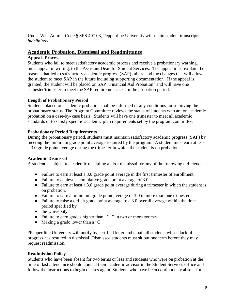Under Wis. Admin. Code § SPS 407.03, Pepperdine University will retain student transcripts *indefinitely*.

# **Academic Probation, Dismissal and Readmittance**

#### **Appeals Process**

Students who fail to meet satisfactory academic process and receive a probationary warning, must appeal in writing, to the Assistant Dean for Student Services. The appeal must explain the reasons that led to satisfactory academic progress (SAP) failure and the changes that will allow the student to meet SAP in the future including supporting documentation. If the appeal is granted, the student will be placed on SAP "Financial Aid Probation" and will have one semester/trimester to meet the SAP requirements set for the probation period.

#### **Length of Probationary Period**

Students placed on academic probation shall be informed of any conditions for removing the probationary status. The Program Committee reviews the status of students who are on academic probation on a case-by- case basis. Students will have one trimester to meet all academic standards or to satisfy specific academic plan requirements set by the program committee.

#### **Probationary Period Requirements**

During the probationary period, students must maintain satisfactory academic progress (SAP) by meeting the minimum grade point average required by the program. A student must earn at least a 3.0 grade point average during the trimester in which the student is on probation.

#### **Academic Dismissal**

A student is subject to academic discipline and/or dismissal for any of the following deficiencies:

- Failure to earn at least a 3.0 grade point average in the first trimester of enrollment.
- Failure to achieve a cumulative grade point average of 3.0.
- Failure to earn at least a 3.0 grade point average during a trimester in which the student is on probation.
- Failure to earn a minimum grade point average of 3.0 in more than one trimester.
- Failure to raise a deficit grade point average to a 3.0 overall average within the time period specified by
- the University.
- Failure to earn grades higher than "C+" in two or more courses.
- Making a grade lower than a "C."

\*Pepperdine University will notify by certified letter and email all students whose lack of progress has resulted in dismissal. Dismissed students must sit out one term before they may request readmission.

#### **Readmission Policy**

Students who have been absent for two terms or less and students who were on probation at the time of last attendance should contact their academic advisor in the Student Services Office and follow the instructions to begin classes again. Students who have been continuously absent for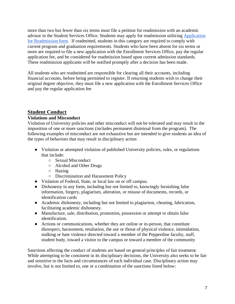more than two but fewer than six terms must file a petition for readmission with an academic advisor in the Student Services Office. Students may apply for readmission utilizing [Application](https://www.pepperdine.edu/registrar/content/readmissionapplication.pdf)  [for Readmission form.](https://www.pepperdine.edu/registrar/content/readmissionapplication.pdf) If readmitted, students in this category are required to comply with current program and graduation requirements. Students who have been absent for six terms or more are required to file a new application with the Enrollment Services Office, pay the regular application fee, and be considered for readmission based upon current admission standards. These readmission applicants will be notified promptly after a decision has been made.

All students who are readmitted are responsible for clearing all their accounts, including financial accounts, before being permitted to register. If returning students wish to change their original degree objective, they must file a new application with the Enrollment Services Office and pay the regular application fee

# **Student Conduct**

#### **Violations and Misconduct**

Violation of University policies and other misconduct will not be tolerated and may result in the imposition of one or more sanctions (includes permanent dismissal from the program). The following examples of misconduct are not exhaustive but are intended to give students an idea of the types of behaviors that may result in disciplinary action

- Violation or attempted violation of published University policies, rules, or regulations that include:
	- Sexual Misconduct
	- Alcohol and Other Drugs
	- Hazing
	- Discrimination and Harassment Policy
- Violation of Federal, State, or local law on or off campus.
- Dishonesty in any form, including but not limited to, knowingly furnishing false information, forgery, plagiarism, alteration, or misuse of documents, records, or identification cards
- Academic dishonesty, including but not limited to plagiarism, cheating, fabrication, facilitating academic dishonesty.
- Manufacture, sale, distribution, promotion, possession or attempt to obtain false identification.
- Actions or communications, whether they are online or in-person, that constitute disrespect, harassment, retaliation, the use or threat of physical violence, intimidation, stalking or hate violence directed toward a member of the Pepperdine faculty, staff, student body, toward a visitor to the campus or toward a member of the community

Sanctions affecting the conduct of students are based on general principles of fair treatment. While attempting to be consistent in its disciplinary decisions, the University also seeks to be fair and sensitive to the facts and circumstances of each individual case. Disciplinary action may involve, but is not limited to, one or a combination of the sanctions listed below: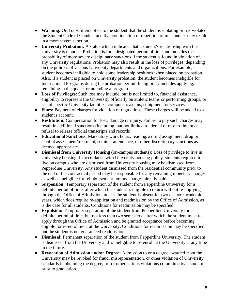- **Warning:** Oral or written notice to the student that the student is violating or has violated the Student Code of Conduct and that continuation or repetition of misconduct may result in a more severe sanction.
- **University Probation:** A status which indicates that a student's relationship with the University is tenuous. Probation is for a designated period of time and includes the probability of more severe disciplinary sanctions if the student is found in violation of any University regulations. Probation may also result in the loss of privileges, depending on the policies of various University departments and organizations. For example, a student becomes ineligible to hold some leadership positions when placed on probation. Also, if a student is placed on University probation, the student becomes ineligible for International Programs during the probation period. Ineligibility includes applying, remaining in the queue, or attending a program.
- **Loss of Privileges**: Such loss may include, but is not limited to, financial assistance, eligibility to represent the University officially on athletic teams or performing groups, or use of specific University facilities, computer systems, equipment, or services.
- **Fines:** Payment of charges for violation of regulations. These charges will be added to a student's account.
- **Restitution:** Compensation for loss, damage or injury. Failure to pay such charges may result in additional sanctions (including, but not limited to, denial of re-enrollment or refusal to release official transcripts and records).
- **Educational Sanctions:** Mandatory work hours, reading/writing assignment, drug or alcohol assessment/treatment, seminar attendance, or other discretionary sanctions as deemed appropriate.
- **Dismissal from University Housing** (on-campus students)**:** Loss of privilege to live in University housing. In accordance with University housing policy, students required to live on campus who are dismissed from University housing may be dismissed from Pepperdine University. Any student dismissed from the residential community prior to the end of the contractual period may be responsible for any remaining monetary charges, as well as ineligible for reimbursement for any charges already paid.
- **Suspension:** Temporary separation of the student from Pepperdine University for a definite period of time, after which the student is eligible to return without re-applying through the Office of Admission, unless the student is absent for two or more academic years, which does require re-application and readmission by the Office of Admission, as is the case for all students. Conditions for readmission may be specified.
- **Expulsion:** Temporary separation of the student from Pepperdine University for a definite period of time, but not less than two semesters, after which the student must reapply through the Office of Admission and be granted acceptance before becoming eligible for re-enrollment at the University. Conditions for readmission may be specified, but the student is not guaranteed readmission.
- **Dismissal:** Permanent separation of the student from Pepperdine University. The student is dismissed from the University and is ineligible to re-enroll at the University at any time in the future.
- **Revocation of Admission and/or Degree:** Admission to or a degree awarded from the University may be revoked for fraud, misrepresentation, or other violation of University standards in obtaining the degree, or for other serious violations committed by a student prior to graduation.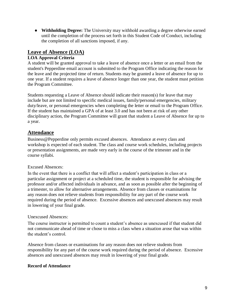● **Withholding Degree:** The University may withhold awarding a degree otherwise earned until the completion of the process set forth in this Student Code of Conduct, including the completion of all sanctions imposed, if any.

# **Leave of Absence (LOA)**

### **LOA Approval Criteria**

A student will be granted approval to take a leave of absence once a letter or an email from the student's Pepperdine email account is submitted to the Program Office indicating the reason for the leave and the projected time of return. Students may be granted a leave of absence for up to one year. If a student requires a leave of absence longer than one year, the student must petition the Program Committee.

Students requesting a Leave of Absence should indicate their reason(s) for leave that may include but are not limited to specific medical issues, family/personal emergencies, military duty/leave, or personal emergencies when completing the letter or email to the Program Office. If the student has maintained a GPA of at least 3.0 and has not been at risk of any other disciplinary action, the Program Committee will grant that student a Leave of Absence for up to a year.

# **Attendance**

Business@Pepperdine only permits excused absences. Attendance at every class and workshop is expected of each student. The class and course work schedules, including projects or presentation assignments, are made very early in the course of the trimester and in the course syllabi.

#### Excused Absences:

In the event that there is a conflict that will affect a student's participation in class or a particular assignment or project at a scheduled time, the student is responsible for advising the professor and/or affected individuals in advance, and as soon as possible after the beginning of a trimester, to allow for alternative arrangements. Absence from classes or examinations for any reason does not relieve students from responsibility for any part of the course work required during the period of absence. Excessive absences and unexcused absences may result in lowering of your final grade.

#### Unexcused Absences:

The course instructor is permitted to count a student's absence as unexcused if that student did not communicate ahead of time or chose to miss a class when a situation arose that was within the student's control.

Absence from classes or examinations for any reason does not relieve students from responsibility for any part of the course work required during the period of absence. Excessive absences and unexcused absences may result in lowering of your final grade.

# **Record of Attendance**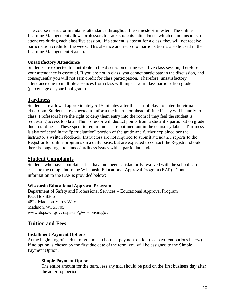The course instructor maintains attendance throughout the semester/trimester. The online Learning Management allows professors to track students' attendance, which maintains a list of attendees during each class/live session. If a student is absent for a class, they will not receive participation credit for the week. This absence and record of participation is also housed in the Learning Management System.

#### **Unsatisfactory Attendance**

Students are expected to contribute to the discussion during each live class session, therefore your attendance is essential. If you are not in class, you cannot participate in the discussion, and consequently you will not earn credit for class participation. Therefore, unsatisfactory attendance due to multiple absences from class will impact your class participation grade (percentage of your final grade).

# **Tardiness**

Students are allowed approximately 5-15 minutes after the start of class to enter the virtual classroom. Students are expected to inform the instructor ahead of time if they will be tardy to class. Professors have the right to deny them entry into the room if they feel the student is requesting access too late. The professor will deduct points from a student's participation grade due to tardiness. These specific requirements are outlined out in the course syllabus. Tardiness is also reflected in the "participation" portion of the grade and further explained per the instructor's written feedback. Instructors are not required to submit attendance reports to the Registrar for online programs on a daily basis, but are expected to contact the Registrar should there be ongoing attendance/tardiness issues with a particular student.

# **Student Complaints**

Students who have complaints that have not been satisfactorily resolved with the school can escalate the complaint to the Wisconsin Educational Approval Program (EAP). Contact information to the EAP is provided below:

#### **Wisconsin Educational Approval Program**

Department of Safety and Professional Services – Educational Approval Program P.O. Box 8366 4822 Madison Yards Way Madison, WI 53705 www.dsps.wi.gov; dspseap@wisconsin.gov

# **Tuition and Fees**

#### **Installment Payment Options**

At the beginning of each term you must choose a payment option (see payment options below). If no option is chosen by the first due date of the term, you will be assigned to the Simple Payment Option.

#### **Simple Payment Option**

The entire amount for the term, less any aid, should be paid on the first business day after the add/drop period.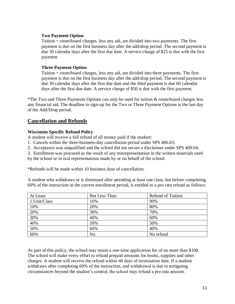#### **Two Payment Option**

Tuition + room/board charges, less any aid, are divided into two payments. The first payment is due on the first business day after the add/drop period. The second payment is due 30 calendar days after the first due date. A service charge of \$25 is due with the first payment.

#### **Three Payment Option**

Tuition + room/board charges, less any aid, are divided into three payments. The first payment is due on the first business day after the add/drop period. The second payment is due 30 calendar days after the first due date and the third payment is due 60 calendar days after the first due date. A service charge of \$50 is due with the first payment.

\*The Two and Three Payments Options can only be used for tuition & room/board charges less any financial aid. The deadline to sign-up for the Two or Three Payment Options is the last day of the Add/Drop period.

# **Cancellation and Refunds**

#### **Wisconsin Specific Refund Policy**

A student will receive a full refund of all money paid if the student:

1. Cancels within the three-business-day cancellation period under SPS 406.03;

2. Acceptance was unqualified and the school did not secure a disclaimer under SPS 409.04;

3. Enrollment was procured as the result of any misrepresentation in the written materials used

by the school or in oral representations made by or on behalf of the school.

\*Refunds will be made within 10 business days of cancellation.

A student who withdraws or is dismissed after attending at least one class, but before completing 60% of the instruction in the current enrollment period, is entitled to a pro rata refund as follows:

| At Least     | <b>But Less Than</b> | <b>Refund of Tuition</b> |
|--------------|----------------------|--------------------------|
| 1 Unit/Class | 10%                  | 90%                      |
| 10%          | 20%                  | 80%                      |
| 20%          | 30%                  | 70%                      |
| 30%          | 40%                  | 60%                      |
| 40%          | 50%                  | 50%                      |
| 50%          | 60%                  | 40%                      |
| 60%          | N <sub>o</sub>       | No refund                |

As part of this policy, the school may retain a one-time application fee of no more than \$100. The school will make every effort to refund prepaid amounts for books, supplies and other charges. A student will receive the refund within 40 days of termination date. If a student withdraws after completing 60% of the instruction, and withdrawal is due to mitigating circumstances beyond the student's control, the school may refund a pro rata amount.